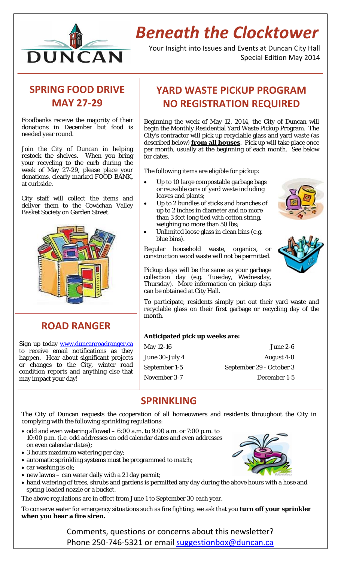

# *Beneath the Clocktower*

Your Insight into Issues and Events at Duncan City Hall Special Edition May 2014

# **SPRING FOOD DRIVE MAY 27‐29**

Foodbanks receive the majority of their donations in December but food is needed year round.

Join the City of Duncan in helping restock the shelves. When you bring your recycling to the curb during the week of May 27-29, please place your donations, clearly marked FOOD BANK, at curbside.

City staff will collect the items and deliver them to the Cowichan Valley Basket Society on Garden Street.



**ROAD RANGER**

Sign up today www.duncanroadranger.ca to receive email notifications as they happen. Hear about significant projects or changes to the City, winter road condition reports and anything else that may impact your day!

# **YARD WASTE PICKUP PROGRAM NO REGISTRATION REQUIRED**

Beginning the week of May 12, 2014, the City of Duncan will begin the Monthly Residential Yard Waste Pickup Program. The City's contractor will pick up recyclable glass and yard waste (as described below) **from all houses**. Pick up will take place once per month, usually at the beginning of each month. See below for dates.

The following items are eligible for pickup:

- Up to 10 large compostable garbage bags or reusable cans of yard waste including leaves and plants;
- Up to 2 bundles of sticks and branches of up to 2 inches in diameter and no more than 3 feet long tied with cotton string, weighing no more than 50 lbs;
- Unlimited loose glass in clean bins (e.g. blue bins).

Regular household waste, organics, or construction wood waste will not be permitted.



Pickup days will be the same as your garbage collection day (e.g. Tuesday, Wednesday, Thursday). More information on pickup days can be obtained at City Hall.

To participate, residents simply put out their yard waste and recyclable glass on their first garbage or recycling day of the month.

### **Anticipated pick up weeks are:**

| May 12-16      | June 2-6                 |
|----------------|--------------------------|
| June 30-July 4 | August 4-8               |
| September 1-5  | September 29 - October 3 |
| November 3-7   | December 1-5             |

## **SPRINKLING**

The City of Duncan requests the cooperation of all homeowners and residents throughout the City in complying with the following sprinkling regulations:

- $\bullet$  odd and even watering allowed 6:00 a.m. to 9:00 a.m. or 7:00 p.m. to 10:00 p.m. (i.e. odd addresses on odd calendar dates and even addresses on even calendar dates);
- 3 hours maximum watering per day;
- automatic sprinkling systems must be programmed to match;
- car washing is ok;
- new lawns can water daily with a 21 day permit;
- hand watering of trees, shrubs and gardens is permitted any day during the above hours with a hose and spring-loaded nozzle or a bucket.

The above regulations are in effect from June 1 to September 30 each year.

To conserve water for emergency situations such as fire fighting, we ask that you **turn off your sprinkler when you hear a fire siren.**



Comments, questions or concerns about this newsletter? Phone 250-746-5321 or email suggestionbox@duncan.ca